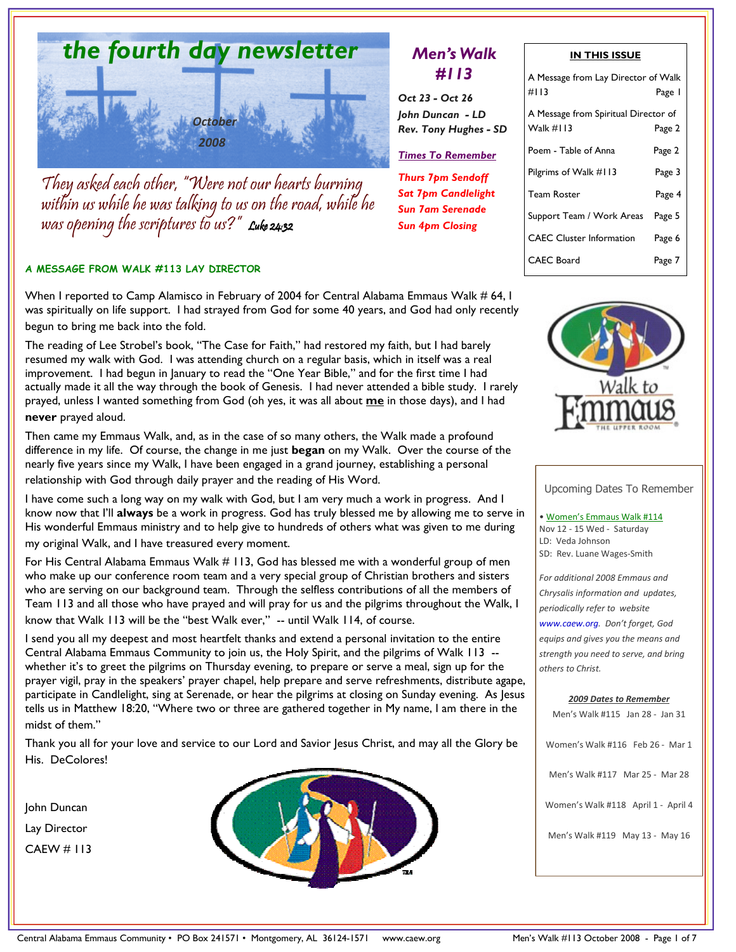

They asked each other, "Were not our hearts burning within us while he was talking to us on the road, while he was opening the scriptures to us?" Luke 24:32

#### A MESSAGE FROM WALK #113 LAY DIRECTOR

When I reported to Camp Alamisco in February of 2004 for Central Alabama Emmaus Walk # 64, I was spiritually on life support. I had strayed from God for some 40 years, and God had only recently begun to bring me back into the fold.

The reading of Lee Strobel's book, "The Case for Faith," had restored my faith, but I had barely resumed my walk with God. I was attending church on a regular basis, which in itself was a real improvement. I had begun in January to read the "One Year Bible," and for the first time I had actually made it all the way through the book of Genesis. I had never attended a bible study. I rarely prayed, unless I wanted something from God (oh yes, it was all about me in those days), and I had never prayed aloud.

Then came my Emmaus Walk, and, as in the case of so many others, the Walk made a profound difference in my life. Of course, the change in me just began on my Walk. Over the course of the nearly five years since my Walk, I have been engaged in a grand journey, establishing a personal relationship with God through daily prayer and the reading of His Word.

I have come such a long way on my walk with God, but I am very much a work in progress. And I know now that I'll always be a work in progress. God has truly blessed me by allowing me to serve in His wonderful Emmaus ministry and to help give to hundreds of others what was given to me during my original Walk, and I have treasured every moment.

For His Central Alabama Emmaus Walk # 113, God has blessed me with a wonderful group of men who make up our conference room team and a very special group of Christian brothers and sisters who are serving on our background team. Through the selfless contributions of all the members of Team 113 and all those who have prayed and will pray for us and the pilgrims throughout the Walk, I know that Walk 113 will be the "best Walk ever," -- until Walk 114, of course.

I send you all my deepest and most heartfelt thanks and extend a personal invitation to the entire Central Alabama Emmaus Community to join us, the Holy Spirit, and the pilgrims of Walk 113 - whether it's to greet the pilgrims on Thursday evening, to prepare or serve a meal, sign up for the prayer vigil, pray in the speakers' prayer chapel, help prepare and serve refreshments, distribute agape, participate in Candlelight, sing at Serenade, or hear the pilgrims at closing on Sunday evening. As Jesus tells us in Matthew 18:20, "Where two or three are gathered together in My name, I am there in the midst of them."

Thank you all for your love and service to our Lord and Savior Jesus Christ, and may all the Glory be His. DeColores!

John Duncan Lay Director CAEW # 113



# Men's Walk #113

Oct 23 - Oct 26 John Duncan - LD Rev. Tony Hughes - SD

Times To Remember

Thurs 7pm Sendoff Sat 7pm Candlelight Sun 7am Serenade Sun 4pm Closing

| IN THIS ISSUE                        |        |  |
|--------------------------------------|--------|--|
| A Message from Lay Director of Walk  |        |  |
| #113                                 | Page I |  |
| A Message from Spiritual Director of |        |  |
| Walk #113                            | Page 2 |  |
| Poem - Table of Anna                 | Page 2 |  |
| Pilgrims of Walk #113                | Page 3 |  |
| <b>Team Roster</b>                   | Page 4 |  |
| Support Team / Work Areas            | Page 5 |  |
| <b>CAEC Cluster Information</b>      | Page 6 |  |
| CAEC Board                           | Page 7 |  |



Upcoming Dates To Remember

• Women's Emmaus Walk #114 Nov 12 - 15 Wed - Saturday LD: Veda Johnson SD: Rev. Luane Wages-Smith

For additional 2008 Emmaus and Chrysalis information and updates, periodically refer to website www.caew.org. Don't forget, God equips and gives you the means and strength you need to serve, and bring others to Christ.

#### 2009 Dates to Remember

Men's Walk #115 Jan 28 - Jan 31

Women's Walk #116 Feb 26 - Mar 1

Men's Walk #117 Mar 25 - Mar 28

Women's Walk #118 April 1 - April 4

Men's Walk #119 May 13 - May 16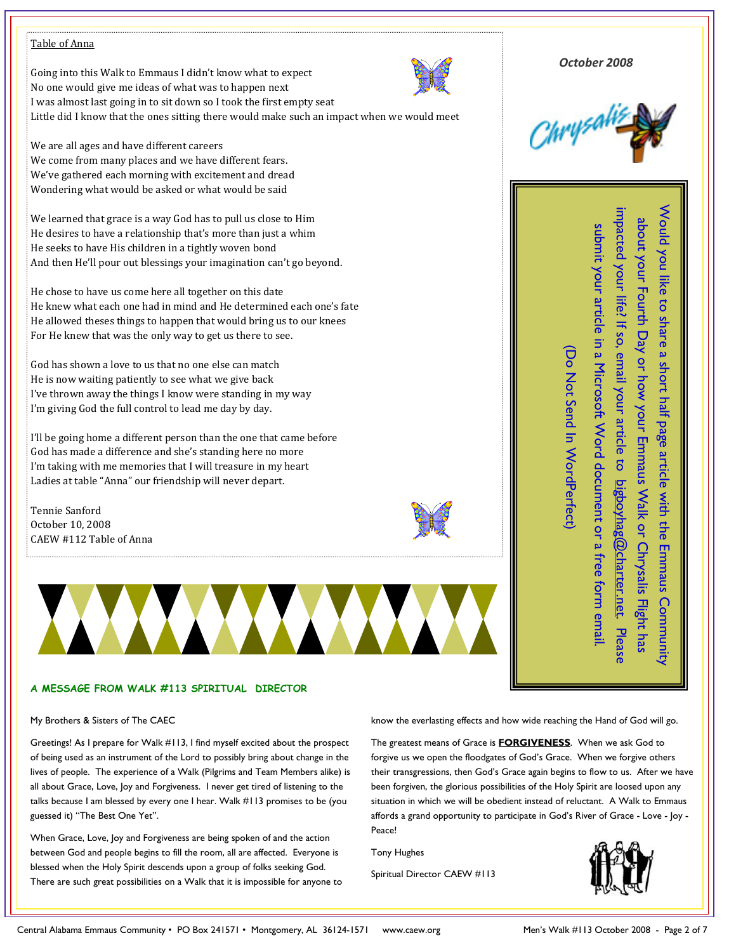### Table of Anna

Going into this Walk to Emmaus I didn't know what to expect No one would give me ideas of what was to happen next I was almost last going in to sit down so I took the first empty seat Little did I know that the ones sitting there would make such an impact when we would meet



Would you like to share a short half page article with the Emmaus Community about your Fourth Day or how your Emmaus Walk or Chrysalis Flight has impacted your life? If so, email your article to bigboyhag@charter.net. Please submit your article in a Microsoft Word document or a free form email.

Would you like to share a short half page article with the Emmaus Community

impacted your life? If so, email your article to bigboyhag@charter.net. Please about your Fourth Day or how your Emmaus Walk or Chrysalis Flight has

submit your article in a Microsoft Word document or a free form email

(Do Not Send In WordPerfect)

Do Not Send In WordPerfect

We are all ages and have different careers We come from many places and we have different fears. We've gathered each morning with excitement and dread Wondering what would be asked or what would be said

We learned that grace is a way God has to pull us close to Him He desires to have a relationship that's more than just a whim He seeks to have His children in a tightly woven bond And then He'll pour out blessings your imagination can't go beyond.

He chose to have us come here all together on this date He knew what each one had in mind and He determined each one's fate He allowed theses things to happen that would bring us to our knees For He knew that was the only way to get us there to see.

God has shown a love to us that no one else can match He is now waiting patiently to see what we give back I've thrown away the things I know were standing in my way I'm giving God the full control to lead me day by day.

I'll be going home a different person than the one that came before God has made a difference and she's standing here no more I'm taking with me memories that I will treasure in my heart Ladies at table "Anna" our friendship will never depart.

Tennie Sanford October 10, 2008 CAEW #112 Table of Anna





My Brothers & Sisters of The CAEC

Greetings! As I prepare for Walk #113, I find myself excited about the prospect of being used as an instrument of the Lord to possibly bring about change in the lives of people. The experience of a Walk (Pilgrims and Team Members alike) is all about Grace, Love, Joy and Forgiveness. I never get tired of listening to the talks because I am blessed by every one I hear. Walk #113 promises to be (you guessed it) "The Best One Yet".

When Grace, Love, Joy and Forgiveness are being spoken of and the action between God and people begins to fill the room, all are affected. Everyone is blessed when the Holy Spirit descends upon a group of folks seeking God. There are such great possibilities on a Walk that it is impossible for anyone to know the everlasting effects and how wide reaching the Hand of God will go.

The greatest means of Grace is **FORGIVENESS**. When we ask God to forgive us we open the floodgates of God's Grace. When we forgive others their transgressions, then God's Grace again begins to flow to us. After we have been forgiven, the glorious possibilities of the Holy Spirit are loosed upon any situation in which we will be obedient instead of reluctant. A Walk to Emmaus affords a grand opportunity to participate in God's River of Grace - Love - Joy - Peace!

Tony Hughes

Spiritual Director CAEW #113



**ANAWARAN**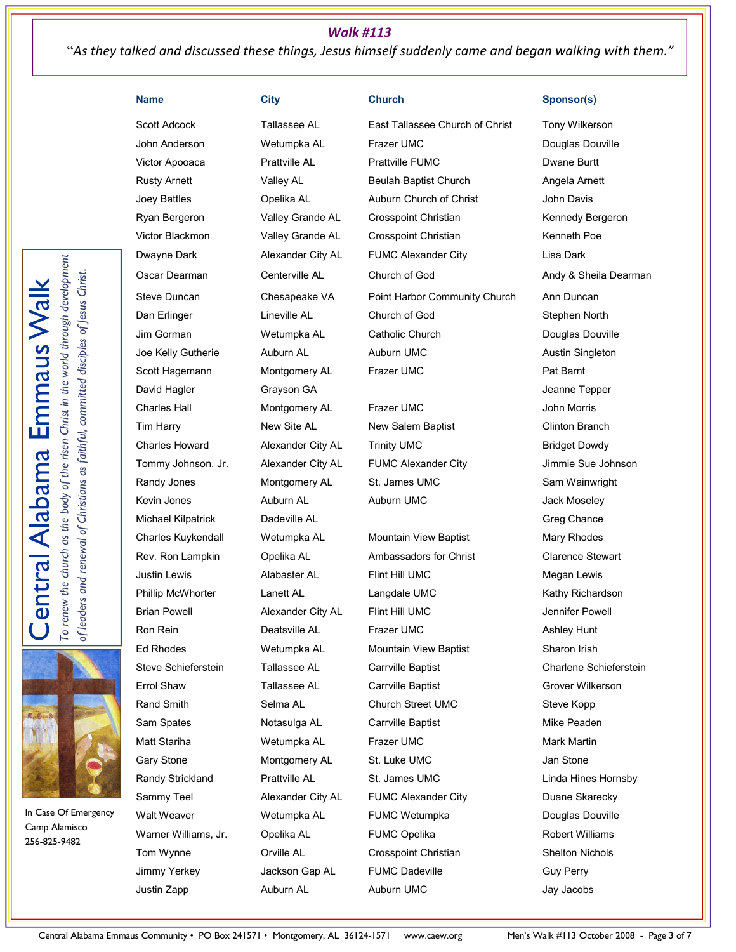# Walk #113

"As they talked and discussed these things, Jesus himself suddenly came and began walking with them."

David Hagler Grayson GA Jeanne Tepper Michael Kilpatrick Dadeville AL Greg Chance Creater and Greg Chance Charles Kuykendall Wetumpka AL Mountain View Baptist Mary Rhodes

Scott Adcock Tallassee AL East Tallassee Church of Christ Tony Wilkerson John Anderson Wetumpka AL Frazer UMC Douglas Douville Victor Apooaca **Prattville AL** Prattville FUMC Prattville FUMC Rusty Arnett Valley AL Beulah Baptist Church Angela Arnett Joey Battles Opelika AL Auburn Church of Christ John Davis Ryan Bergeron **State Valley Grande AL** Crosspoint Christian **Kennedy Bergeron** Victor Blackmon **Valley Grande AL** Crosspoint Christian **Kenneth Poe** Dwayne Dark **Alexander City AL** FUMC Alexander City **Lisa Dark** Oscar Dearman Centerville AL Church of God Andy & Sheila Dearman Steve Duncan Chesapeake VA Point Harbor Community Church Ann Duncan Dan Erlinger Lineville AL Church of God Stephen North Jim Gorman Wetumpka AL Catholic Church Douglas Douville Joe Kelly Gutherie **Auburn AL Auburn Austin Singleton** Austin Singleton Scott Hagemann Montgomery AL Frazer UMC Frame Pat Barnt

Charles Hall Montgomery AL Frazer UMC John Morris Tim Harry **New Site AL** New Salem Baptist Clinton Branch Charles Howard **Alexander City AL** Trinity UMC **Bridget Dowdy** Tommy Johnson, Jr. Alexander City AL FUMC Alexander City Jimmie Sue Johnson Randy Jones **Montgomery AL** St. James UMC Sam Wainwright Kevin Jones **Auburn AL** Auburn AL Auburn UMC Auburn UMC

Rev. Ron Lampkin Cpelika AL Ambassadors for Christ Clarence Stewart Justin Lewis **Alabaster AL** Flint Hill UMC **Megan Lewis** Megan Lewis Phillip McWhorter Lanett AL Langdale UMC Charles Kathy Richardson Brian Powell **Alexander City AL** Flint Hill UMC **State Server Server Alexander City AL** Flint Hill UMC Ron Rein **Deatsville AL** Frazer UMC **Ashley Hunt** Ashley Hunt Ed Rhodes Wetumpka AL Mountain View Baptist Sharon Irish Steve Schieferstein Tallassee AL Carrville Baptist Charlene Schieferstein Errol Shaw Tallassee AL Carrville Baptist Carrol Shaw Grover Wilkerson Rand Smith Selma AL Church Street UMC Steve Kopp Sam Spates **Notasulga AL** Carrville Baptist Carrolle Mike Peaden Matt Stariha **Mark Martin** Wetumpka AL Frazer UMC **Mark Martin** Mark Martin Gary Stone **Montgomery AL** St. Luke UMC **St. Luke UMC** Jan Stone Randy Strickland Prattville AL St. James UMC Linda Hines Hornsby Sammy Teel **Alexander City AL** FUMC Alexander City **Duane Skarecky** Walt Weaver **Metumpka AL** FUMC Wetumpka **Number 2016** Douglas Douville Warner Williams, Jr. Copelika AL FUMC Opelika And Robert Williams Tom Wynne Orville AL Crosspoint Christian Shelton Nichols Jimmy Yerkey **State Ackson Gap AL** FUMC Dadeville **CAL** Guy Perry Justin Zapp Auburn AL Auburn UMC Jay Jacobs

#### Name City Church Church Sponsor(s)

To renew the church as the body of the risen Christ in the world through development To renew the church as the body of the risen Christ in the world through development of leaders and renewal of Christians as faithful, committed disciples of Jesus Christ. Central Alabama Emmaus Walk of leaders and renewal of Christians as faithful, committed disciples of Jesus Christ. Emmaus Wal **Alabama** entral



In Case Of Emergency Camp Alamisco 256-825-9482

Central Alabama Emmaus Community • PO Box 241571 • Montgomery, AL 36124-1571 www.caew.org Men's Walk #113 October 2008 - Page 3 of 7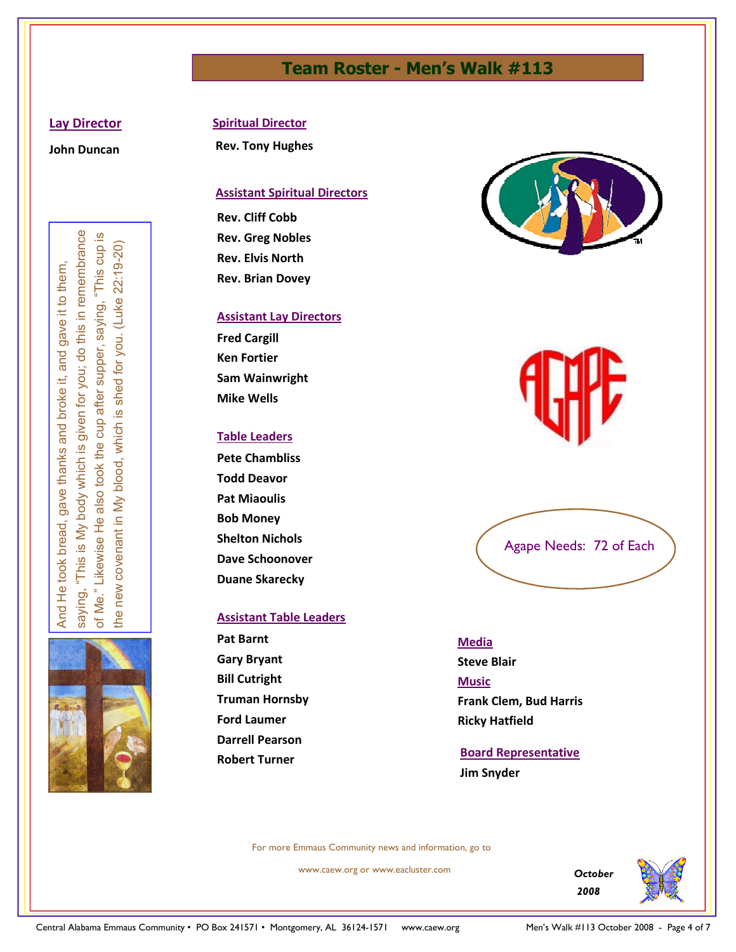# Team Roster - Men's Walk #113

### Lay Director

John Duncan

Examples the control of the Control of the Control of the Control of the Control of the Control of the Control of the Control of the Control of the Control of the Control of the Control of the Control of the Control of th



## Spiritual Director

Rev. Tony Hughes

## Assistant Spiritual Directors

Rev. Cliff Cobb Rev. Greg Nobles Rev. Elvis North Rev. Brian Dovey

## Assistant Lay Directors

Fred Cargill Ken Fortier Sam Wainwright Mike Wells

## Table Leaders

Pete Chambliss Todd Deavor Pat Miaoulis Bob Money Shelton Nichols Dave Schoonover Duane Skarecky

### Assistant Table Leaders

Pat Barnt Gary Bryant Bill Cutright Truman Hornsby Ford Laumer Darrell Pearson Robert Turner



Agape Needs: 72 of Each

### Media

Steve Blair Music Frank Clem, Bud Harris Ricky Hatfield

# Board Representative Jim Snyder

For more Emmaus Community news and information, go to

www.caew.org or www.eacluster.com

**October** 2008

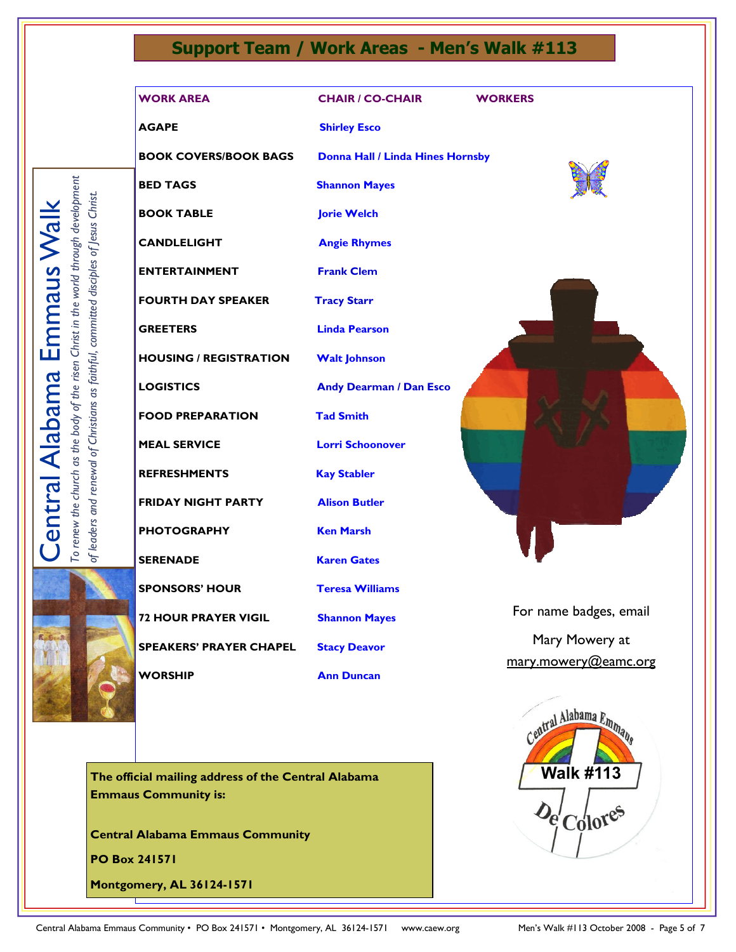# Support Team / Work Areas - Men's Walk #113

AGAPE Shirley Esco

BOOK COVERS/BOOK BAGS Donna Hall / Linda Hines Hornsby

BED TAGS Shannon Mayes

ENTERTAINMENT Frank Clem

BOOK TABLE **Jorie Welch** 

CANDLELIGHT Angie Rhymes

FOURTH DAY SPEAKER Tracy Starr

HOUSING / REGISTRATION Walt Johnson

Central Alabama Emmaus Walk

**Central Alabama Emmaus Walk** 

To renew the church as the body of the risen Christ in the world through development of leaders and renewal of Christians as faithful, committed disciples of Jesus Christ.

To renew the church as the body of the risen Christ in the world through development of leaders and renewal of Christians as faithful, committed disciples of Jesus Christ.

FOOD PREPARATION Tad Smith

**FRIDAY NIGHT PARTY Alison Butler** 

PHOTOGRAPHY Ken Marsh

SPEAKERS' PRAYER CHAPEL Stacy Deavor

GREETERS Linda Pearson LOGISTICS Andy Dearman / Dan Esco MEAL SERVICE Lorri Schoonover REFRESHMENTS Kay Stabler SERENADE Karen Gates SPONSORS' HOUR Teresa Williams **72 HOUR PRAYER VIGIL Shannon Mayes** 

WORSHIP **Ann Duncan** 

The official mailing address of the Central Alabama Emmaus Community is:

Central Alabama Emmaus Community

PO Box 241571

Montgomery, AL 36124-1571



For name badges, email

Mary Mowery at mary.mowery@eamc.org

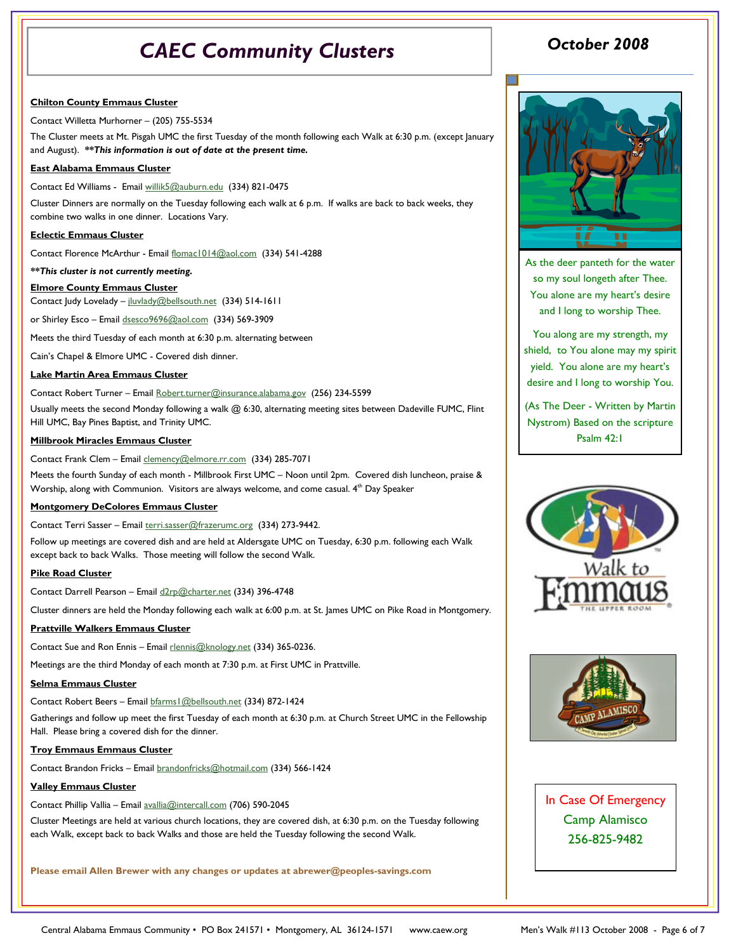# CAEC Community Clusters

#### Chilton County Emmaus Cluster

Contact Willetta Murhorner – (205) 755-5534

The Cluster meets at Mt. Pisgah UMC the first Tuesday of the month following each Walk at 6:30 p.m. (except January and August). \*\* This information is out of date at the present time.

#### East Alabama Emmaus Cluster

Contact Ed Williams - Email willik5@auburn.edu (334) 821-0475

Cluster Dinners are normally on the Tuesday following each walk at 6 p.m. If walks are back to back weeks, they combine two walks in one dinner. Locations Vary.

#### Eclectic Emmaus Cluster

Contact Florence McArthur - Email flomac1014@aol.com (334) 541-4288

#### \*\*This cluster is not currently meeting.

#### Elmore County Emmaus Cluster

Contact Judy Lovelady – jluvlady@bellsouth.net (334) 514-1611

or Shirley Esco - Email dsesco9696@aol.com (334) 569-3909

Meets the third Tuesday of each month at 6:30 p.m. alternating between

Cain's Chapel & Elmore UMC - Covered dish dinner.

#### Lake Martin Area Emmaus Cluster

#### Contact Robert Turner – Email Robert.turner@insurance.alabama.gov (256) 234-5599

Usually meets the second Monday following a walk @ 6:30, alternating meeting sites between Dadeville FUMC, Flint Hill UMC, Bay Pines Baptist, and Trinity UMC.

#### Millbrook Miracles Emmaus Cluster

Contact Frank Clem – Email clemency@elmore.rr.com (334) 285-7071

Meets the fourth Sunday of each month - Millbrook First UMC – Noon until 2pm. Covered dish luncheon, praise & Worship, along with Communion. Visitors are always welcome, and come casual. 4<sup>th</sup> Day Speaker

#### Montgomery DeColores Emmaus Cluster

Contact Terri Sasser – Email terri.sasser@frazerumc.org (334) 273-9442.

Follow up meetings are covered dish and are held at Aldersgate UMC on Tuesday, 6:30 p.m. following each Walk except back to back Walks. Those meeting will follow the second Walk.

#### Pike Road Cluster

Contact Darrell Pearson - Email d2rp@charter.net (334) 396-4748

Cluster dinners are held the Monday following each walk at 6:00 p.m. at St. James UMC on Pike Road in Montgomery.

#### Prattville Walkers Emmaus Cluster

Contact Sue and Ron Ennis - Email rlennis@knology.net (334) 365-0236.

Meetings are the third Monday of each month at 7:30 p.m. at First UMC in Prattville.

#### Selma Emmaus Cluster

Contact Robert Beers – Email bfarms1@bellsouth.net (334) 872-1424

Gatherings and follow up meet the first Tuesday of each month at 6:30 p.m. at Church Street UMC in the Fellowship Hall. Please bring a covered dish for the dinner.

#### Troy Emmaus Emmaus Cluster

Contact Brandon Fricks – Email brandonfricks@hotmail.com (334) 566-1424

### Valley Emmaus Cluster

Contact Phillip Vallia – Email avallia@intercall.com (706) 590-2045

Cluster Meetings are held at various church locations, they are covered dish, at 6:30 p.m. on the Tuesday following each Walk, except back to back Walks and those are held the Tuesday following the second Walk.

Please email Allen Brewer with any changes or updates at abrewer@peoples-savings.com

# October 2008



As the deer panteth for the water so my soul longeth after Thee. You alone are my heart's desire and I long to worship Thee.

You along are my strength, my shield, to You alone may my spirit yield. You alone are my heart's desire and I long to worship You.

(As The Deer - Written by Martin Nystrom) Based on the scripture Psalm 42:1





In Case Of Emergency Camp Alamisco 256-825-9482